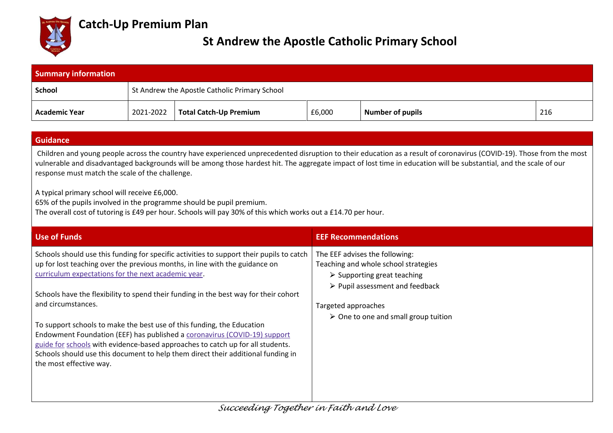

## **Catch-Up Premium Plan**

## **St Andrew the Apostle Catholic Primary School**

| <b>Summary information</b> |                                               |                               |        |                         |     |  |
|----------------------------|-----------------------------------------------|-------------------------------|--------|-------------------------|-----|--|
| School                     | St Andrew the Apostle Catholic Primary School |                               |        |                         |     |  |
| Academic Year              | 2021-2022                                     | <b>Total Catch-Up Premium</b> | £6,000 | <b>Number of pupils</b> | 216 |  |

## **Guidance**

Children and young people across the country have experienced unprecedented disruption to their education as a result of coronavirus (COVID-19). Those from the most vulnerable and disadvantaged backgrounds will be among those hardest hit. The aggregate impact of lost time in education will be substantial, and the scale of our response must match the scale of the challenge.

A typical primary school will receive £6,000.

65% of the pupils involved in the programme should be pupil premium.

The overall cost of tutoring is £49 per hour. Schools will pay 30% of this which works out a £14.70 per hour.

| <b>Use of Funds</b>                                                                                                                                                | <b>EEF Recommendations</b>                                                         |
|--------------------------------------------------------------------------------------------------------------------------------------------------------------------|------------------------------------------------------------------------------------|
| Schools should use this funding for specific activities to support their pupils to catch                                                                           | The EEF advises the following:                                                     |
| up for lost teaching over the previous months, in line with the guidance on<br>curriculum expectations for the next academic year.                                 | Teaching and whole school strategies<br>$\triangleright$ Supporting great teaching |
|                                                                                                                                                                    | $\triangleright$ Pupil assessment and feedback                                     |
| Schools have the flexibility to spend their funding in the best way for their cohort<br>and circumstances.                                                         | Targeted approaches                                                                |
|                                                                                                                                                                    | $\triangleright$ One to one and small group tuition                                |
| To support schools to make the best use of this funding, the Education<br>Endowment Foundation (EEF) has published a coronavirus (COVID-19) support                |                                                                                    |
| guide for schools with evidence-based approaches to catch up for all students.<br>Schools should use this document to help them direct their additional funding in |                                                                                    |
| the most effective way.                                                                                                                                            |                                                                                    |
|                                                                                                                                                                    |                                                                                    |
|                                                                                                                                                                    |                                                                                    |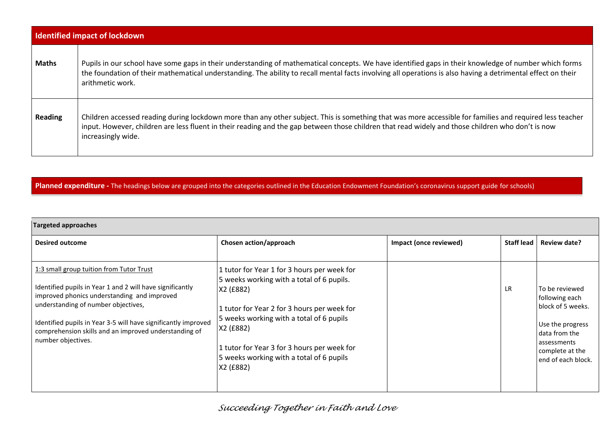| <b>Identified impact of lockdown</b> |                                                                                                                                                                                                                                                                                                                                           |  |  |  |
|--------------------------------------|-------------------------------------------------------------------------------------------------------------------------------------------------------------------------------------------------------------------------------------------------------------------------------------------------------------------------------------------|--|--|--|
| <b>Maths</b>                         | Pupils in our school have some gaps in their understanding of mathematical concepts. We have identified gaps in their knowledge of number which forms<br>the foundation of their mathematical understanding. The ability to recall mental facts involving all operations is also having a detrimental effect on their<br>arithmetic work. |  |  |  |
| <b>Reading</b>                       | Children accessed reading during lockdown more than any other subject. This is something that was more accessible for families and required less teacher<br>input. However, children are less fluent in their reading and the gap between those children that read widely and those children who don't is now<br>increasingly wide.       |  |  |  |

## Planned expenditure - The headings below are grouped into the categories outlined in the Education Endowment Foundation's coronavirus support guide for schools)

| Targeted approaches                                                                                                                                                                                                                                                                                                                          |                                                                                                                                                                                                                                                                                                                       |                        |                   |                                                                                                                                                    |  |
|----------------------------------------------------------------------------------------------------------------------------------------------------------------------------------------------------------------------------------------------------------------------------------------------------------------------------------------------|-----------------------------------------------------------------------------------------------------------------------------------------------------------------------------------------------------------------------------------------------------------------------------------------------------------------------|------------------------|-------------------|----------------------------------------------------------------------------------------------------------------------------------------------------|--|
| <b>Desired outcome</b>                                                                                                                                                                                                                                                                                                                       | Chosen action/approach                                                                                                                                                                                                                                                                                                | Impact (once reviewed) | <b>Staff lead</b> | <b>Review date?</b>                                                                                                                                |  |
| 1:3 small group tuition from Tutor Trust<br>Identified pupils in Year 1 and 2 will have significantly<br>improved phonics understanding and improved<br>understanding of number objectives,<br>Identified pupils in Year 3-5 will have significantly improved<br>comprehension skills and an improved understanding of<br>number objectives. | 1 tutor for Year 1 for 3 hours per week for<br>5 weeks working with a total of 6 pupils.<br>X2 (£882)<br>1 tutor for Year 2 for 3 hours per week for<br>5 weeks working with a total of 6 pupils<br>X2 (£882)<br>1 tutor for Year 3 for 3 hours per week for<br>5 weeks working with a total of 6 pupils<br>X2 (£882) |                        | <b>LR</b>         | To be reviewed<br>following each<br>block of 5 weeks.<br>Use the progress<br>data from the<br>assessments<br>complete at the<br>end of each block. |  |